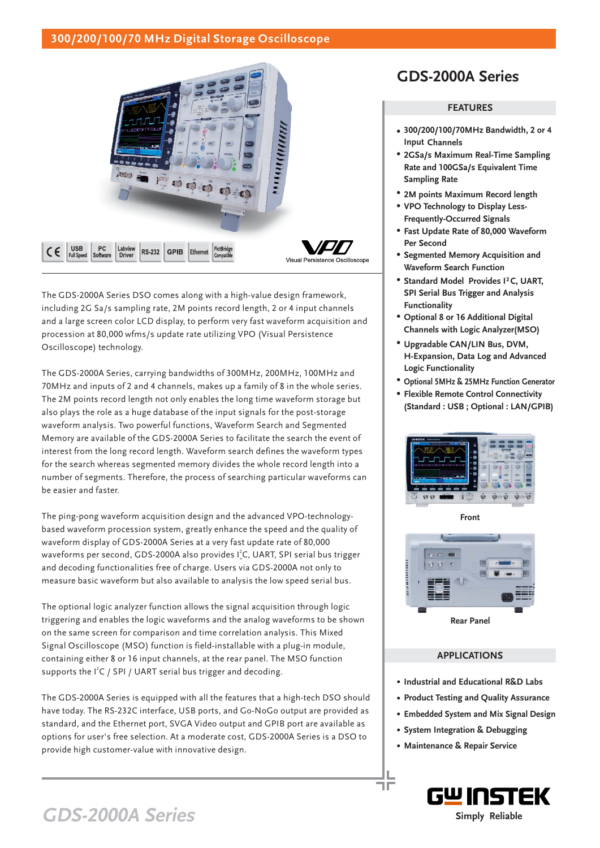## **300/200/100/70 MHz Digital Storage Oscilloscope**



The GDS-2000A Series DSO comes along with a high-value design framework, including 2G Sa/s sampling rate, 2M points record length, 2 or 4 input channels and a large screen color LCD display, to perform very fast waveform acquisition and procession at 80,000 wfms/s update rate utilizing VPO (Visual Persistence Oscilloscope) technology.

The GDS-2000A Series, carrying bandwidths of 300MHz, 200MHz, 100MHz and 70MHz and inputs of 2 and 4 channels, makes up a family of 8 in the whole series. The 2M points record length not only enables the long time waveform storage but also plays the role as a huge database of the input signals for the post-storage waveform analysis. Two powerful functions, Waveform Search and Segmented Memory are available of the GDS-2000A Series to facilitate the search the event of interest from the long record length. Waveform search defines the waveform types for the search whereas segmented memory divides the whole record length into a number of segments. Therefore, the process of searching particular waveforms can be easier and faster.

The ping-pong waveform acquisition design and the advanced VPO-technologybased waveform procession system, greatly enhance the speed and the quality of waveform display of GDS-2000A Series at a very fast update rate of 80,000 waveforms per second, GDS-2000A also provides I<sup>2</sup>C, UART, SPI serial bus trigger and decoding functionalities free of charge. Users via GDS-2000A not only to measure basic waveform but also available to analysis the low speed serial bus.

The optional logic analyzer function allows the signal acquisition through logic triggering and enables the logic waveforms and the analog waveforms to be shown on the same screen for comparison and time correlation analysis. This Mixed Signal Oscilloscope (MSO) function is field-installable with a plug-in module, containing either 8 or 16 input channels, at the rear panel. The MSO function supports the  $I^2C$  / SPI / UART serial bus trigger and decoding.

The GDS-2000A Series is equipped with all the features that a high-tech DSO should have today. The RS-232C interface, USB ports, and Go-NoGo output are provided as standard, and the Ethernet port, SVGA Video output and GPIB port are available as options for user's free selection. At a moderate cost, GDS-2000A Series is a DSO to provide high customer-value with innovative design.

## **GDS-2000A Series**

### **FEATURES**

- **300/200/100/70MHz Bandwidth, 2 or 4 Input Channels**
- **2GSa/s Maximum Real-Time Sampling Rate and 100GSa/s Equivalent Time Sampling Rate**
- **2M points Maximum Record length**
- **VPO Technology to Display Less-Frequently-Occurred Signals**
- **Fast Update Rate of 80,000 Waveform Per Second**
- **Segmented Memory Acquisition and Waveform Search Function**
- Standard Model Provides I<sup>2</sup>C, UART, **SPI Serial Bus Trigger and Analysis Functionality**
- **Optional 8 or 16 Additional Digital Channels with Logic Analyzer(MSO)**
- **Upgradable CAN/LIN Bus, DVM, H-Expansion, Data Log and Advanced Logic Functionality**
- **Optional 5MHz & 25MHz Function Generator**
- **Flexible Remote Control Connectivity (Standard : USB ; Optional : LAN/GPIB)**



**Front**



**Rear Panel**

## **APPLICATIONS**

- **Industrial and Educational R&D Labs**
- **Product Testing and Quality Assurance**
- **Embedded System and Mix Signal Design**
- **System Integration & Debugging**
- **Maintenance & Repair Service**

٦F



# **GDS-2000A Series**